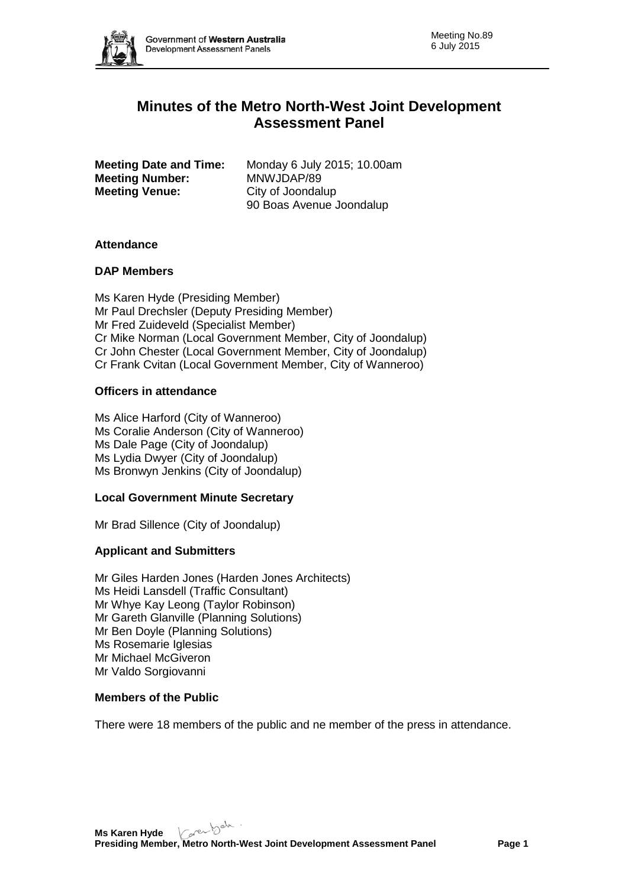

# **Minutes of the Metro North-West Joint Development Assessment Panel**

**Meeting Number:<br>Meeting Venue:** 

**Meeting Date and Time:** Monday 6 July 2015; 10.00am<br>**Meeting Number:** MNWJDAP/89 **City of Joondalup** 90 Boas Avenue Joondalup

# **Attendance**

# **DAP Members**

Ms Karen Hyde (Presiding Member) Mr Paul Drechsler (Deputy Presiding Member) Mr Fred Zuideveld (Specialist Member) Cr Mike Norman (Local Government Member, City of Joondalup) Cr John Chester (Local Government Member, City of Joondalup) Cr Frank Cvitan (Local Government Member, City of Wanneroo)

# **Officers in attendance**

Ms Alice Harford (City of Wanneroo) Ms Coralie Anderson (City of Wanneroo) Ms Dale Page (City of Joondalup) Ms Lydia Dwyer (City of Joondalup) Ms Bronwyn Jenkins (City of Joondalup)

# **Local Government Minute Secretary**

Mr Brad Sillence (City of Joondalup)

# **Applicant and Submitters**

Mr Giles Harden Jones (Harden Jones Architects) Ms Heidi Lansdell (Traffic Consultant) Mr Whye Kay Leong (Taylor Robinson) Mr Gareth Glanville (Planning Solutions) Mr Ben Doyle (Planning Solutions) Ms Rosemarie Iglesias Mr Michael McGiveron Mr Valdo Sorgiovanni

# **Members of the Public**

There were 18 members of the public and ne member of the press in attendance.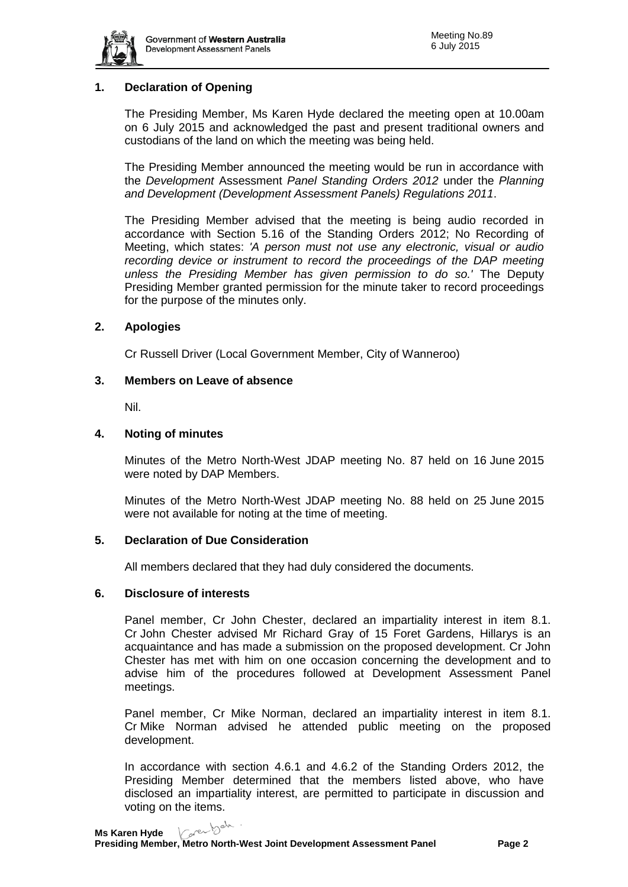

# **1. Declaration of Opening**

The Presiding Member, Ms Karen Hyde declared the meeting open at 10.00am on 6 July 2015 and acknowledged the past and present traditional owners and custodians of the land on which the meeting was being held.

The Presiding Member announced the meeting would be run in accordance with the *Development* Assessment *Panel Standing Orders 2012* under the *Planning and Development (Development Assessment Panels) Regulations 2011*.

The Presiding Member advised that the meeting is being audio recorded in accordance with Section 5.16 of the Standing Orders 2012; No Recording of Meeting, which states: *'A person must not use any electronic, visual or audio recording device or instrument to record the proceedings of the DAP meeting unless the Presiding Member has given permission to do so.'* The Deputy Presiding Member granted permission for the minute taker to record proceedings for the purpose of the minutes only.

### **2. Apologies**

Cr Russell Driver (Local Government Member, City of Wanneroo)

### **3. Members on Leave of absence**

Nil.

### **4. Noting of minutes**

Minutes of the Metro North-West JDAP meeting No. 87 held on 16 June 2015 were noted by DAP Members.

Minutes of the Metro North-West JDAP meeting No. 88 held on 25 June 2015 were not available for noting at the time of meeting.

# **5. Declaration of Due Consideration**

All members declared that they had duly considered the documents.

#### **6. Disclosure of interests**

Panel member, Cr John Chester, declared an impartiality interest in item 8.1. Cr John Chester advised Mr Richard Gray of 15 Foret Gardens, Hillarys is an acquaintance and has made a submission on the proposed development. Cr John Chester has met with him on one occasion concerning the development and to advise him of the procedures followed at Development Assessment Panel meetings.

Panel member, Cr Mike Norman, declared an impartiality interest in item 8.1. Cr Mike Norman advised he attended public meeting on the proposed development.

In accordance with section 4.6.1 and 4.6.2 of the Standing Orders 2012, the Presiding Member determined that the members listed above, who have disclosed an impartiality interest, are permitted to participate in discussion and voting on the items.

Karen bab **Ms Karen Hyde**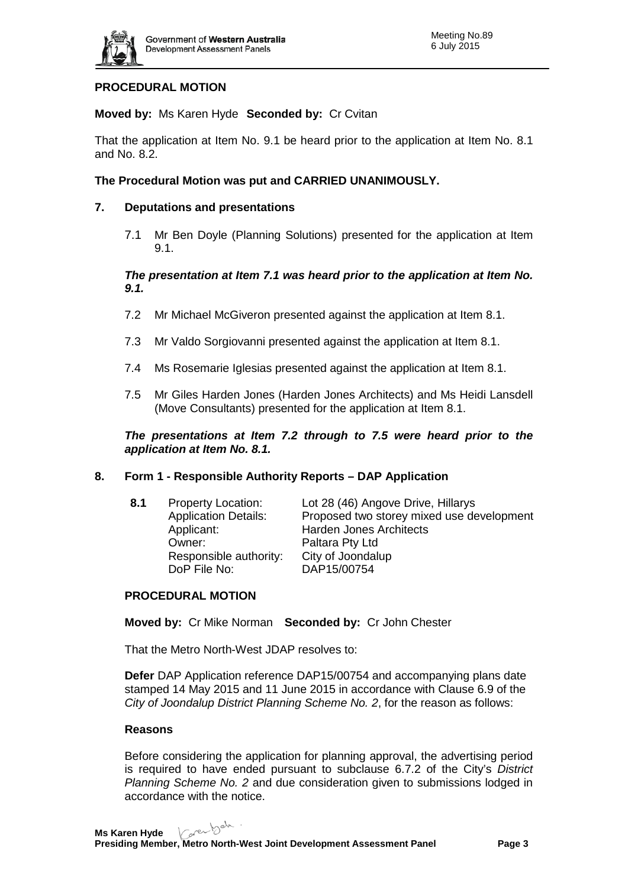

# **PROCEDURAL MOTION**

**Moved by:** Ms Karen Hyde **Seconded by:** Cr Cvitan

That the application at Item No. 9.1 be heard prior to the application at Item No. 8.1 and No. 8.2.

# **The Procedural Motion was put and CARRIED UNANIMOUSLY.**

# **7. Deputations and presentations**

7.1 Mr Ben Doyle (Planning Solutions) presented for the application at Item 9.1.

# *The presentation at Item 7.1 was heard prior to the application at Item No. 9.1.*

- 7.2 Mr Michael McGiveron presented against the application at Item 8.1.
- 7.3 Mr Valdo Sorgiovanni presented against the application at Item 8.1.
- 7.4 Ms Rosemarie Iglesias presented against the application at Item 8.1.
- 7.5 Mr Giles Harden Jones (Harden Jones Architects) and Ms Heidi Lansdell (Move Consultants) presented for the application at Item 8.1.

*The presentations at Item 7.2 through to 7.5 were heard prior to the application at Item No. 8.1.*

# **8. Form 1 - Responsible Authority Reports – DAP Application**

| 8.1 | <b>Property Location:</b><br><b>Application Details:</b><br>Applicant:<br>Owner:<br>Responsible authority: | Lot 28 (46) Angove Drive, Hillarys<br>Proposed two storey mixed use development<br><b>Harden Jones Architects</b><br>Paltara Pty Ltd<br>City of Joondalup |
|-----|------------------------------------------------------------------------------------------------------------|-----------------------------------------------------------------------------------------------------------------------------------------------------------|
|     | DoP File No:                                                                                               | DAP15/00754                                                                                                                                               |

# **PROCEDURAL MOTION**

**Moved by:** Cr Mike Norman **Seconded by:** Cr John Chester

That the Metro North-West JDAP resolves to:

**Defer** DAP Application reference DAP15/00754 and accompanying plans date stamped 14 May 2015 and 11 June 2015 in accordance with Clause 6.9 of the *City of Joondalup District Planning Scheme No. 2*, for the reason as follows:

#### **Reasons**

Before considering the application for planning approval, the advertising period is required to have ended pursuant to subclause 6.7.2 of the City's *District Planning Scheme No. 2* and due consideration given to submissions lodged in accordance with the notice.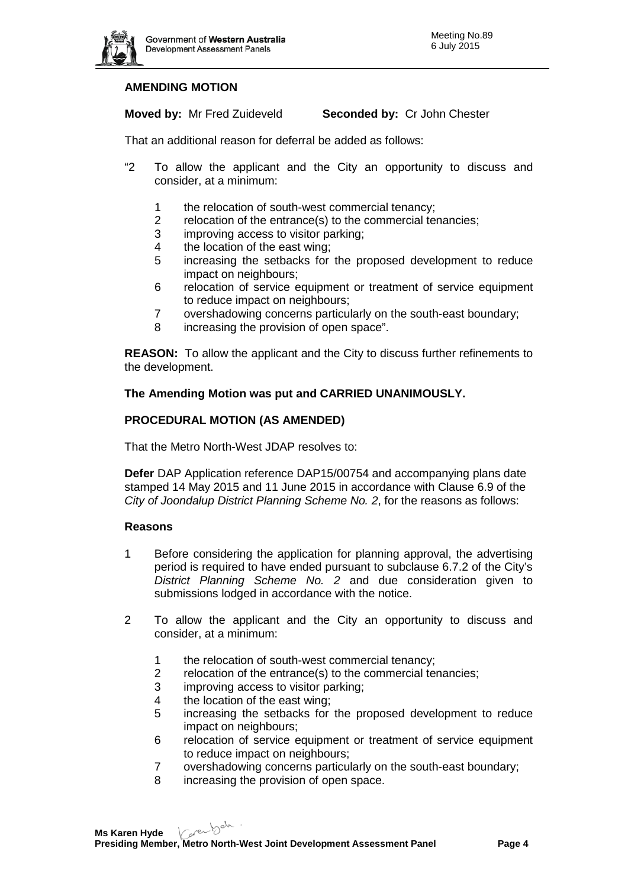

# **AMENDING MOTION**

**Moved by:** Mr Fred Zuideveld **Seconded by:** Cr John Chester

That an additional reason for deferral be added as follows:

- "2 To allow the applicant and the City an opportunity to discuss and consider, at a minimum:
	- 1 the relocation of south-west commercial tenancy;<br>2 relocation of the entrance(s) to the commercial term
	- relocation of the entrance(s) to the commercial tenancies;
	- 3 improving access to visitor parking;
	- 4 the location of the east wing;
	- 5 increasing the setbacks for the proposed development to reduce impact on neighbours;
	- 6 relocation of service equipment or treatment of service equipment to reduce impact on neighbours;
	- 7 overshadowing concerns particularly on the south-east boundary;
	- 8 increasing the provision of open space".

**REASON:** To allow the applicant and the City to discuss further refinements to the development.

# **The Amending Motion was put and CARRIED UNANIMOUSLY.**

### **PROCEDURAL MOTION (AS AMENDED)**

That the Metro North-West JDAP resolves to:

**Defer** DAP Application reference DAP15/00754 and accompanying plans date stamped 14 May 2015 and 11 June 2015 in accordance with Clause 6.9 of the *City of Joondalup District Planning Scheme No. 2*, for the reasons as follows:

#### **Reasons**

- 1 Before considering the application for planning approval, the advertising period is required to have ended pursuant to subclause 6.7.2 of the City's *District Planning Scheme No. 2* and due consideration given to submissions lodged in accordance with the notice.
- 2 To allow the applicant and the City an opportunity to discuss and consider, at a minimum:
	- 1 the relocation of south-west commercial tenancy;
	- 2 relocation of the entrance(s) to the commercial tenancies;
	- 3 improving access to visitor parking;
	- 4 the location of the east wing;
	- 5 increasing the setbacks for the proposed development to reduce impact on neighbours;
	- 6 relocation of service equipment or treatment of service equipment to reduce impact on neighbours;
	- 7 overshadowing concerns particularly on the south-east boundary;
	- 8 increasing the provision of open space.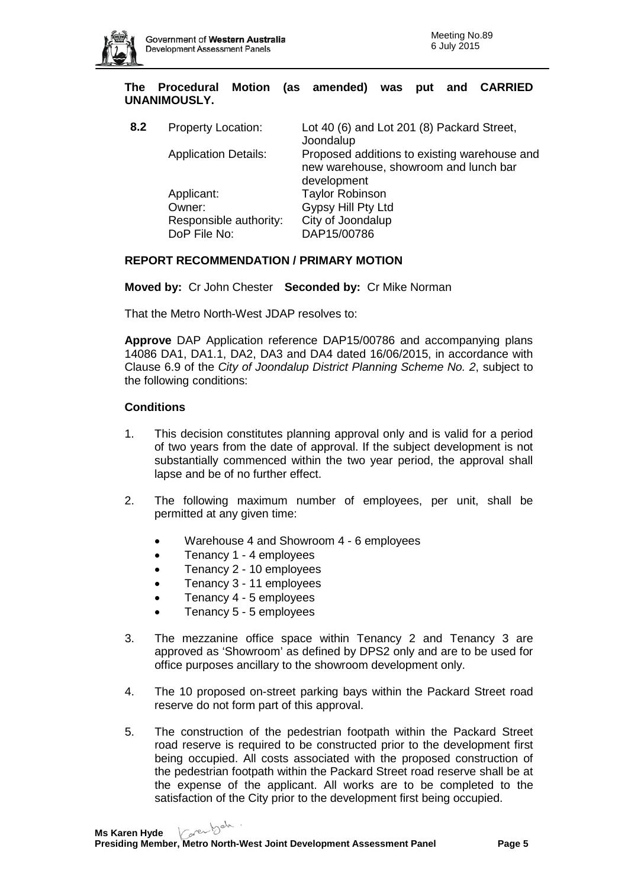

**The Procedural Motion (as amended) was put and CARRIED UNANIMOUSLY.**

| 8.2 | <b>Property Location:</b>   | Lot 40 (6) and Lot 201 (8) Packard Street,<br>Joondalup                                              |
|-----|-----------------------------|------------------------------------------------------------------------------------------------------|
|     | <b>Application Details:</b> | Proposed additions to existing warehouse and<br>new warehouse, showroom and lunch bar<br>development |
|     | Applicant:                  | <b>Taylor Robinson</b>                                                                               |
|     | Owner:                      | Gypsy Hill Pty Ltd                                                                                   |
|     | Responsible authority:      | City of Joondalup                                                                                    |
|     | DoP File No:                | DAP15/00786                                                                                          |

### **REPORT RECOMMENDATION / PRIMARY MOTION**

**Moved by:** Cr John Chester **Seconded by:** Cr Mike Norman

That the Metro North-West JDAP resolves to:

**Approve** DAP Application reference DAP15/00786 and accompanying plans 14086 DA1, DA1.1, DA2, DA3 and DA4 dated 16/06/2015, in accordance with Clause 6.9 of the *City of Joondalup District Planning Scheme No. 2*, subject to the following conditions:

# **Conditions**

- 1. This decision constitutes planning approval only and is valid for a period of two years from the date of approval. If the subject development is not substantially commenced within the two year period, the approval shall lapse and be of no further effect.
- 2. The following maximum number of employees, per unit, shall be permitted at any given time:
	- Warehouse 4 and Showroom 4 6 employees
	- Tenancy 1 4 employees
	- Tenancy 2 10 employees
	- Tenancy 3 11 employees
	- Tenancy 4 5 employees
	- Tenancy 5 5 employees
- 3. The mezzanine office space within Tenancy 2 and Tenancy 3 are approved as 'Showroom' as defined by DPS2 only and are to be used for office purposes ancillary to the showroom development only.
- 4. The 10 proposed on-street parking bays within the Packard Street road reserve do not form part of this approval.
- 5. The construction of the pedestrian footpath within the Packard Street road reserve is required to be constructed prior to the development first being occupied. All costs associated with the proposed construction of the pedestrian footpath within the Packard Street road reserve shall be at the expense of the applicant. All works are to be completed to the satisfaction of the City prior to the development first being occupied.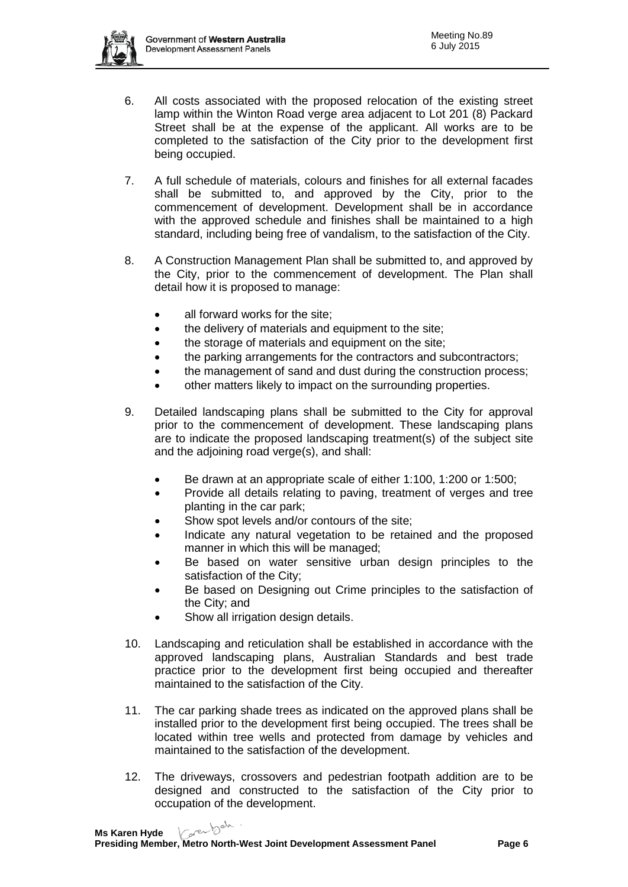

- 6. All costs associated with the proposed relocation of the existing street lamp within the Winton Road verge area adjacent to Lot 201 (8) Packard Street shall be at the expense of the applicant. All works are to be completed to the satisfaction of the City prior to the development first being occupied.
- 7. A full schedule of materials, colours and finishes for all external facades shall be submitted to, and approved by the City, prior to the commencement of development. Development shall be in accordance with the approved schedule and finishes shall be maintained to a high standard, including being free of vandalism, to the satisfaction of the City.
- 8. A Construction Management Plan shall be submitted to, and approved by the City, prior to the commencement of development. The Plan shall detail how it is proposed to manage:
	- all forward works for the site:
	- the delivery of materials and equipment to the site;
	- the storage of materials and equipment on the site;
	- the parking arrangements for the contractors and subcontractors;
	- the management of sand and dust during the construction process;
	- other matters likely to impact on the surrounding properties.
- 9. Detailed landscaping plans shall be submitted to the City for approval prior to the commencement of development. These landscaping plans are to indicate the proposed landscaping treatment(s) of the subject site and the adjoining road verge(s), and shall:
	- Be drawn at an appropriate scale of either 1:100, 1:200 or 1:500;
	- Provide all details relating to paving, treatment of verges and tree planting in the car park;
	- Show spot levels and/or contours of the site;
	- Indicate any natural vegetation to be retained and the proposed manner in which this will be managed;
	- Be based on water sensitive urban design principles to the satisfaction of the City;
	- Be based on Designing out Crime principles to the satisfaction of the City; and
	- Show all irrigation design details.
- 10. Landscaping and reticulation shall be established in accordance with the approved landscaping plans, Australian Standards and best trade practice prior to the development first being occupied and thereafter maintained to the satisfaction of the City.
- 11. The car parking shade trees as indicated on the approved plans shall be installed prior to the development first being occupied. The trees shall be located within tree wells and protected from damage by vehicles and maintained to the satisfaction of the development.
- 12. The driveways, crossovers and pedestrian footpath addition are to be designed and constructed to the satisfaction of the City prior to occupation of the development.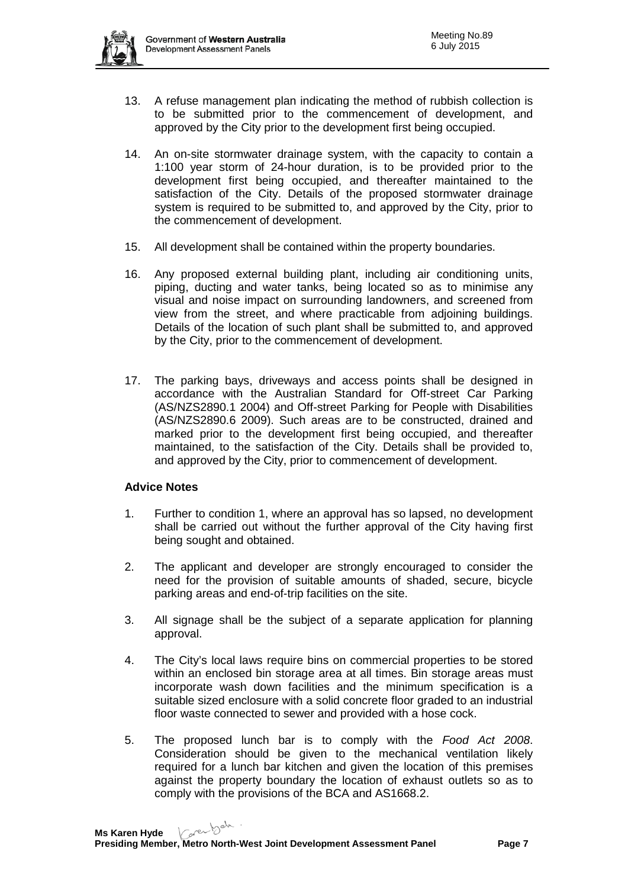

- 13. A refuse management plan indicating the method of rubbish collection is to be submitted prior to the commencement of development, and approved by the City prior to the development first being occupied.
- 14. An on-site stormwater drainage system, with the capacity to contain a 1:100 year storm of 24-hour duration, is to be provided prior to the development first being occupied, and thereafter maintained to the satisfaction of the City. Details of the proposed stormwater drainage system is required to be submitted to, and approved by the City, prior to the commencement of development.
- 15. All development shall be contained within the property boundaries.
- 16. Any proposed external building plant, including air conditioning units, piping, ducting and water tanks, being located so as to minimise any visual and noise impact on surrounding landowners, and screened from view from the street, and where practicable from adjoining buildings. Details of the location of such plant shall be submitted to, and approved by the City, prior to the commencement of development.
- 17. The parking bays, driveways and access points shall be designed in accordance with the Australian Standard for Off-street Car Parking (AS/NZS2890.1 2004) and Off-street Parking for People with Disabilities (AS/NZS2890.6 2009). Such areas are to be constructed, drained and marked prior to the development first being occupied, and thereafter maintained, to the satisfaction of the City. Details shall be provided to, and approved by the City, prior to commencement of development.

# **Advice Notes**

- 1. Further to condition 1, where an approval has so lapsed, no development shall be carried out without the further approval of the City having first being sought and obtained.
- 2. The applicant and developer are strongly encouraged to consider the need for the provision of suitable amounts of shaded, secure, bicycle parking areas and end-of-trip facilities on the site.
- 3. All signage shall be the subject of a separate application for planning approval.
- 4. The City's local laws require bins on commercial properties to be stored within an enclosed bin storage area at all times. Bin storage areas must incorporate wash down facilities and the minimum specification is a suitable sized enclosure with a solid concrete floor graded to an industrial floor waste connected to sewer and provided with a hose cock.
- 5. The proposed lunch bar is to comply with the *Food Act 2008*. Consideration should be given to the mechanical ventilation likely required for a lunch bar kitchen and given the location of this premises against the property boundary the location of exhaust outlets so as to comply with the provisions of the BCA and AS1668.2.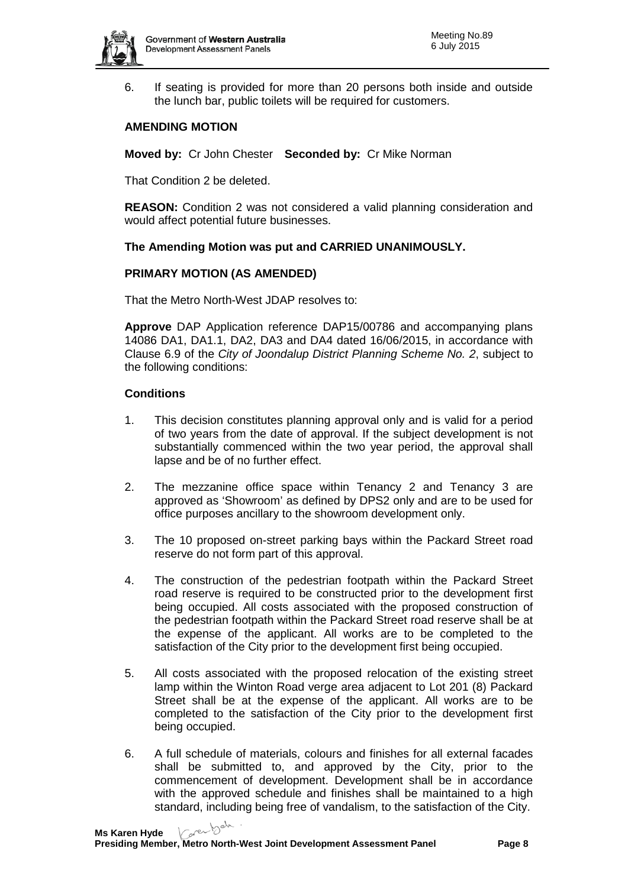

6. If seating is provided for more than 20 persons both inside and outside the lunch bar, public toilets will be required for customers.

# **AMENDING MOTION**

**Moved by:** Cr John Chester **Seconded by:** Cr Mike Norman

That Condition 2 be deleted.

**REASON:** Condition 2 was not considered a valid planning consideration and would affect potential future businesses.

# **The Amending Motion was put and CARRIED UNANIMOUSLY.**

# **PRIMARY MOTION (AS AMENDED)**

That the Metro North-West JDAP resolves to:

**Approve** DAP Application reference DAP15/00786 and accompanying plans 14086 DA1, DA1.1, DA2, DA3 and DA4 dated 16/06/2015, in accordance with Clause 6.9 of the *City of Joondalup District Planning Scheme No. 2*, subject to the following conditions:

# **Conditions**

- 1. This decision constitutes planning approval only and is valid for a period of two years from the date of approval. If the subject development is not substantially commenced within the two year period, the approval shall lapse and be of no further effect.
- 2. The mezzanine office space within Tenancy 2 and Tenancy 3 are approved as 'Showroom' as defined by DPS2 only and are to be used for office purposes ancillary to the showroom development only.
- 3. The 10 proposed on-street parking bays within the Packard Street road reserve do not form part of this approval.
- 4. The construction of the pedestrian footpath within the Packard Street road reserve is required to be constructed prior to the development first being occupied. All costs associated with the proposed construction of the pedestrian footpath within the Packard Street road reserve shall be at the expense of the applicant. All works are to be completed to the satisfaction of the City prior to the development first being occupied.
- 5. All costs associated with the proposed relocation of the existing street lamp within the Winton Road verge area adjacent to Lot 201 (8) Packard Street shall be at the expense of the applicant. All works are to be completed to the satisfaction of the City prior to the development first being occupied.
- 6. A full schedule of materials, colours and finishes for all external facades shall be submitted to, and approved by the City, prior to the commencement of development. Development shall be in accordance with the approved schedule and finishes shall be maintained to a high standard, including being free of vandalism, to the satisfaction of the City.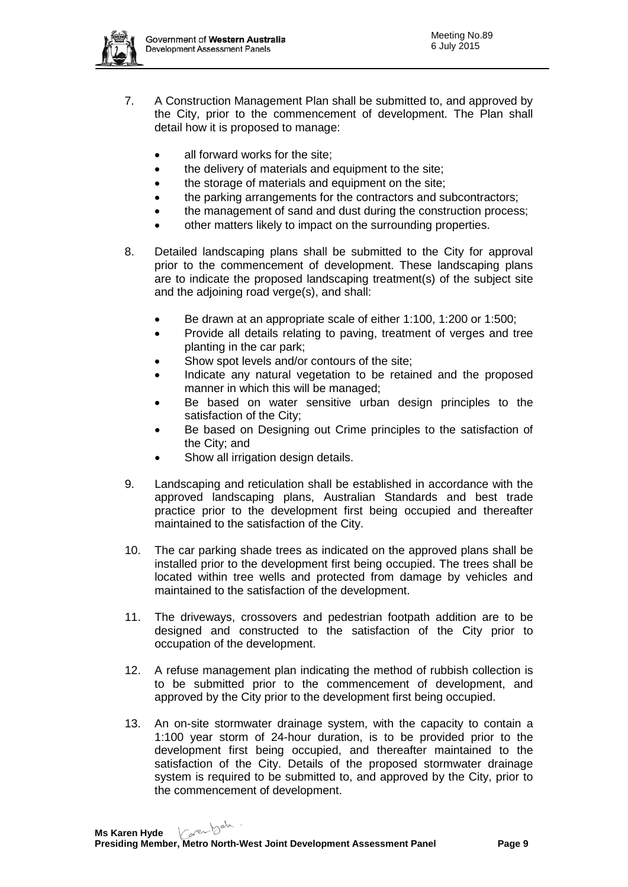

- 7. A Construction Management Plan shall be submitted to, and approved by the City, prior to the commencement of development. The Plan shall detail how it is proposed to manage:
	- all forward works for the site;
	- the delivery of materials and equipment to the site;
	- the storage of materials and equipment on the site;
	- the parking arrangements for the contractors and subcontractors;
	- the management of sand and dust during the construction process;
	- other matters likely to impact on the surrounding properties.
- 8. Detailed landscaping plans shall be submitted to the City for approval prior to the commencement of development. These landscaping plans are to indicate the proposed landscaping treatment(s) of the subject site and the adjoining road verge(s), and shall:
	- Be drawn at an appropriate scale of either 1:100, 1:200 or 1:500;
	- Provide all details relating to paving, treatment of verges and tree planting in the car park;
	- Show spot levels and/or contours of the site;
	- Indicate any natural vegetation to be retained and the proposed manner in which this will be managed;
	- Be based on water sensitive urban design principles to the satisfaction of the City;
	- Be based on Designing out Crime principles to the satisfaction of the City; and
	- Show all irrigation design details.
- 9. Landscaping and reticulation shall be established in accordance with the approved landscaping plans, Australian Standards and best trade practice prior to the development first being occupied and thereafter maintained to the satisfaction of the City.
- 10. The car parking shade trees as indicated on the approved plans shall be installed prior to the development first being occupied. The trees shall be located within tree wells and protected from damage by vehicles and maintained to the satisfaction of the development.
- 11. The driveways, crossovers and pedestrian footpath addition are to be designed and constructed to the satisfaction of the City prior to occupation of the development.
- 12. A refuse management plan indicating the method of rubbish collection is to be submitted prior to the commencement of development, and approved by the City prior to the development first being occupied.
- 13. An on-site stormwater drainage system, with the capacity to contain a 1:100 year storm of 24-hour duration, is to be provided prior to the development first being occupied, and thereafter maintained to the satisfaction of the City. Details of the proposed stormwater drainage system is required to be submitted to, and approved by the City, prior to the commencement of development.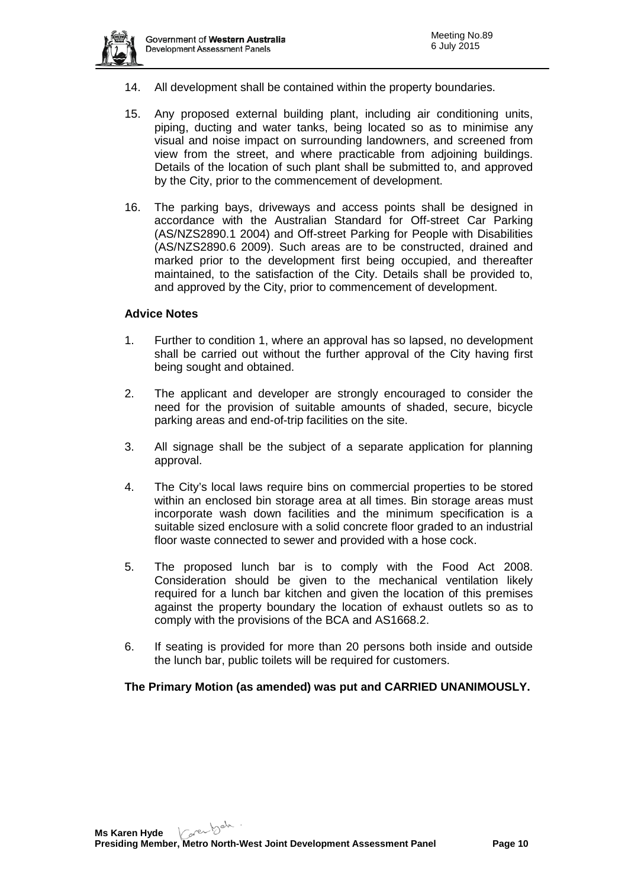

- 14. All development shall be contained within the property boundaries.
- 15. Any proposed external building plant, including air conditioning units, piping, ducting and water tanks, being located so as to minimise any visual and noise impact on surrounding landowners, and screened from view from the street, and where practicable from adjoining buildings. Details of the location of such plant shall be submitted to, and approved by the City, prior to the commencement of development.
- 16. The parking bays, driveways and access points shall be designed in accordance with the Australian Standard for Off-street Car Parking (AS/NZS2890.1 2004) and Off-street Parking for People with Disabilities (AS/NZS2890.6 2009). Such areas are to be constructed, drained and marked prior to the development first being occupied, and thereafter maintained, to the satisfaction of the City. Details shall be provided to, and approved by the City, prior to commencement of development.

### **Advice Notes**

- 1. Further to condition 1, where an approval has so lapsed, no development shall be carried out without the further approval of the City having first being sought and obtained.
- 2. The applicant and developer are strongly encouraged to consider the need for the provision of suitable amounts of shaded, secure, bicycle parking areas and end-of-trip facilities on the site.
- 3. All signage shall be the subject of a separate application for planning approval.
- 4. The City's local laws require bins on commercial properties to be stored within an enclosed bin storage area at all times. Bin storage areas must incorporate wash down facilities and the minimum specification is a suitable sized enclosure with a solid concrete floor graded to an industrial floor waste connected to sewer and provided with a hose cock.
- 5. The proposed lunch bar is to comply with the Food Act 2008. Consideration should be given to the mechanical ventilation likely required for a lunch bar kitchen and given the location of this premises against the property boundary the location of exhaust outlets so as to comply with the provisions of the BCA and AS1668.2.
- 6. If seating is provided for more than 20 persons both inside and outside the lunch bar, public toilets will be required for customers.

# **The Primary Motion (as amended) was put and CARRIED UNANIMOUSLY.**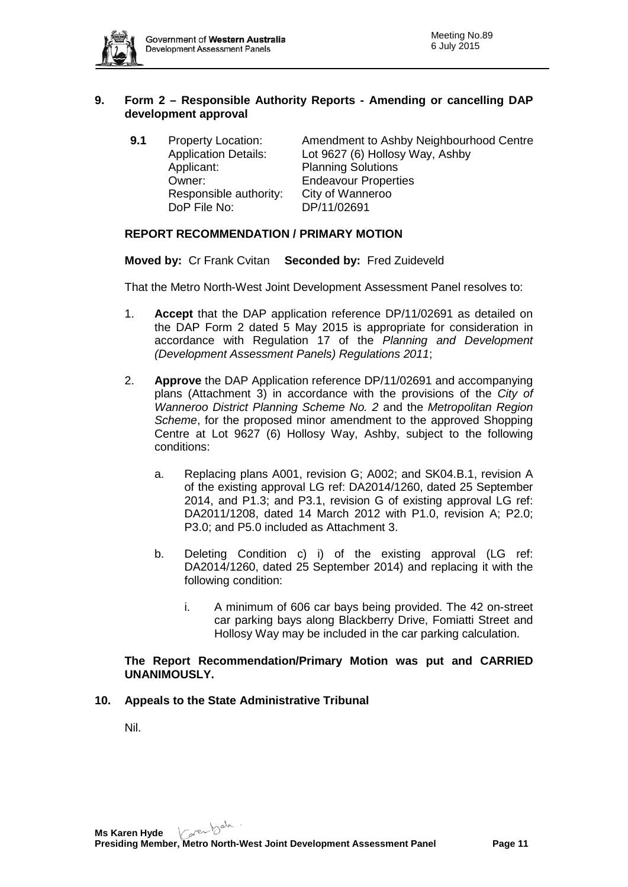

# **9. Form 2 – Responsible Authority Reports - Amending or cancelling DAP development approval**

**9.1** Property Location: Amendment to Ashby Neighbourhood Centre<br>Application Details: Lot 9627 (6) Hollosy Way, Ashby Lot 9627 (6) Hollosy Way, Ashby Applicant: Planning Solutions<br>
Owner: Frideavour Properti Endeavour Properties<br>City of Wanneroo Responsible authority: DoP File No: DP/11/02691

# **REPORT RECOMMENDATION / PRIMARY MOTION**

**Moved by:** Cr Frank Cvitan **Seconded by:** Fred Zuideveld

That the Metro North-West Joint Development Assessment Panel resolves to:

- 1. **Accept** that the DAP application reference DP/11/02691 as detailed on the DAP Form 2 dated 5 May 2015 is appropriate for consideration in accordance with Regulation 17 of the *Planning and Development (Development Assessment Panels) Regulations 2011*;
- 2. **Approve** the DAP Application reference DP/11/02691 and accompanying plans (Attachment 3) in accordance with the provisions of the *City of Wanneroo District Planning Scheme No. 2* and the *Metropolitan Region Scheme*, for the proposed minor amendment to the approved Shopping Centre at Lot 9627 (6) Hollosy Way, Ashby, subject to the following conditions:
	- a. Replacing plans A001, revision G; A002; and SK04.B.1, revision A of the existing approval LG ref: DA2014/1260, dated 25 September 2014, and P1.3; and P3.1, revision G of existing approval LG ref: DA2011/1208, dated 14 March 2012 with P1.0, revision A; P2.0; P3.0; and P5.0 included as Attachment 3.
	- b. Deleting Condition c) i) of the existing approval (LG ref: DA2014/1260, dated 25 September 2014) and replacing it with the following condition:
		- i. A minimum of 606 car bays being provided. The 42 on-street car parking bays along Blackberry Drive, Fomiatti Street and Hollosy Way may be included in the car parking calculation.

### **The Report Recommendation/Primary Motion was put and CARRIED UNANIMOUSLY.**

#### **10. Appeals to the State Administrative Tribunal**

Nil.